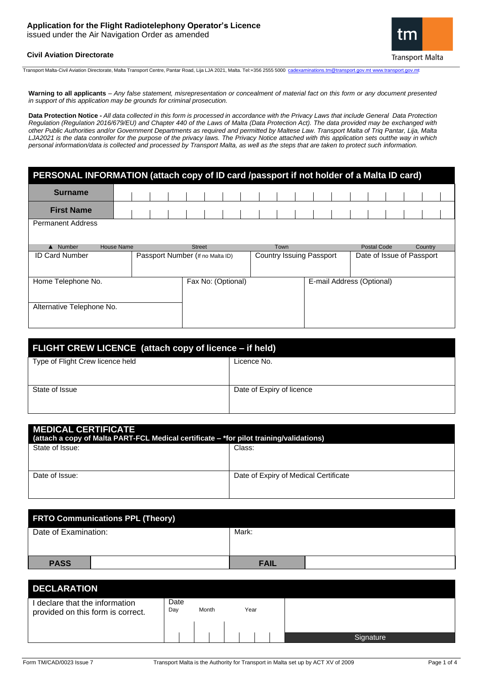# **Application for the Flight Radiotelephony Operator's Licence**

issued under the Air Navigation Order as amended





Transport Malta-Civil Aviation Directorate, Malta Transport Centre, Pantar Road, Lija LJA 2021, Malta. Tel:+356 2555 5000 [cadexaminations.tm@transport.gov.mt](mailto:cadexaminations.tm@transport.gov.mt) [www.transport.gov.mt](http://www.transport.gov.mt/)

Warning to all applicants - Any false statement, misrepresentation or concealment of material fact on this form or any document presented *in support of this application may be grounds for criminal prosecution.*

**Data Protection Notice -** *All data collected in this form is processed in accordance with the Privacy Laws that include General Data Protection Regulation (Regulation 2016/679/EU) and Chapter 440 of the Laws of Malta (Data Protection Act). The data provided may be exchanged with other Public Authorities and/or Government Departments as required and permitted by Maltese Law. Transport Malta of Triq Pantar, Lija, Malta LJA2021 is the data controller for the purpose of the privacy laws. The Privacy Notice attached with this application sets outthe way in which personal information/data is collected and processed by Transport Malta, as well as the steps that are taken to protect such information.*

| PERSONAL INFORMATION (attach copy of ID card /passport if not holder of a Malta ID card) |                   |  |                                  |  |               |                                 |                    |  |                           |  |                           |  |                    |  |  |         |  |  |
|------------------------------------------------------------------------------------------|-------------------|--|----------------------------------|--|---------------|---------------------------------|--------------------|--|---------------------------|--|---------------------------|--|--------------------|--|--|---------|--|--|
| <b>Surname</b>                                                                           |                   |  |                                  |  |               |                                 |                    |  |                           |  |                           |  |                    |  |  |         |  |  |
| <b>First Name</b>                                                                        |                   |  |                                  |  |               |                                 |                    |  |                           |  |                           |  |                    |  |  |         |  |  |
| <b>Permanent Address</b>                                                                 |                   |  |                                  |  |               |                                 |                    |  |                           |  |                           |  |                    |  |  |         |  |  |
| Number                                                                                   | <b>House Name</b> |  |                                  |  | <b>Street</b> |                                 |                    |  | Town                      |  |                           |  | <b>Postal Code</b> |  |  | Country |  |  |
| <b>ID Card Number</b>                                                                    |                   |  | Passport Number (If no Malta ID) |  |               | <b>Country Issuing Passport</b> |                    |  | Date of Issue of Passport |  |                           |  |                    |  |  |         |  |  |
|                                                                                          |                   |  |                                  |  |               |                                 |                    |  |                           |  |                           |  |                    |  |  |         |  |  |
| Home Telephone No.                                                                       |                   |  |                                  |  |               |                                 | Fax No: (Optional) |  |                           |  | E-mail Address (Optional) |  |                    |  |  |         |  |  |
| Alternative Telephone No.                                                                |                   |  |                                  |  |               |                                 |                    |  |                           |  |                           |  |                    |  |  |         |  |  |

| FLIGHT CREW LICENCE (attach copy of licence – if held) |                           |  |  |  |  |
|--------------------------------------------------------|---------------------------|--|--|--|--|
| Type of Flight Crew licence held                       | Licence No.               |  |  |  |  |
|                                                        |                           |  |  |  |  |
| State of Issue                                         | Date of Expiry of licence |  |  |  |  |
|                                                        |                           |  |  |  |  |

| <b>MEDICAL CERTIFICATE</b><br>(attach a copy of Malta PART-FCL Medical certificate – *for pilot training/validations) |                                       |  |  |  |  |  |
|-----------------------------------------------------------------------------------------------------------------------|---------------------------------------|--|--|--|--|--|
| State of Issue:                                                                                                       | Class:                                |  |  |  |  |  |
| Date of Issue:                                                                                                        | Date of Expiry of Medical Certificate |  |  |  |  |  |

| <b>FRTO Communications PPL (Theory)</b> |             |  |  |  |  |  |
|-----------------------------------------|-------------|--|--|--|--|--|
| Date of Examination:                    | Mark:       |  |  |  |  |  |
|                                         |             |  |  |  |  |  |
| <b>PASS</b>                             | <b>FAIL</b> |  |  |  |  |  |

| <b>DECLARATION</b>                                                  |                              |  |  |  |  |  |  |
|---------------------------------------------------------------------|------------------------------|--|--|--|--|--|--|
| I declare that the information<br>provided on this form is correct. | Date<br>Month<br>Year<br>Day |  |  |  |  |  |  |
|                                                                     |                              |  |  |  |  |  |  |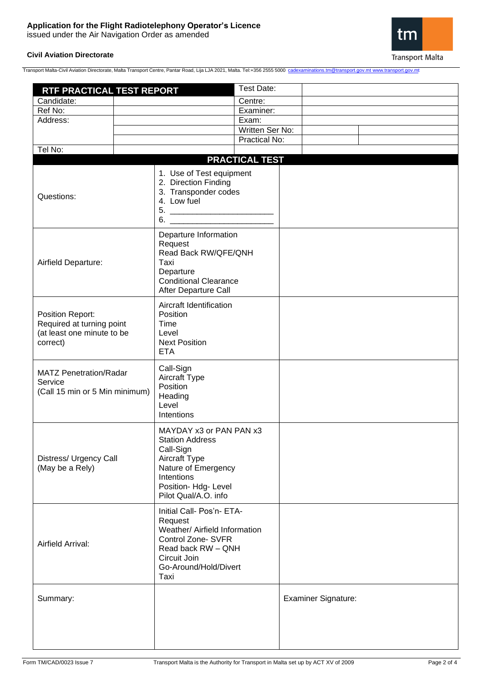# **Application for the Flight Radiotelephony Operator's Licence**

issued under the Air Navigation Order as amended

## **Civil Aviation Directorate**



Transport Malta-Civil Aviation Directorate, Malta Transport Centre, Pantar Road, Lija LJA 2021, Malta. Tel:+356 2555 5000 [cadexaminations.tm@transport.gov.mt](mailto:cadexaminations.tm@transport.gov.mt) [www.transport.gov.mt](http://www.transport.gov.mt/)

| RTF PRACTICAL TEST REPORT                                                               |                                                                                                                                                                      | Test Date:            |                            |  |  |  |
|-----------------------------------------------------------------------------------------|----------------------------------------------------------------------------------------------------------------------------------------------------------------------|-----------------------|----------------------------|--|--|--|
| Candidate:                                                                              | Centre:                                                                                                                                                              |                       |                            |  |  |  |
| Ref No:                                                                                 |                                                                                                                                                                      | Examiner:             |                            |  |  |  |
| Address:                                                                                |                                                                                                                                                                      | Exam:                 |                            |  |  |  |
|                                                                                         |                                                                                                                                                                      | Written Ser No:       |                            |  |  |  |
|                                                                                         |                                                                                                                                                                      | Practical No:         |                            |  |  |  |
| Tel No:                                                                                 |                                                                                                                                                                      |                       |                            |  |  |  |
|                                                                                         |                                                                                                                                                                      | <b>PRACTICAL TEST</b> |                            |  |  |  |
| Questions:                                                                              | 1. Use of Test equipment<br>2. Direction Finding<br>3. Transponder codes<br>4. Low fuel<br>5.<br>6.                                                                  |                       |                            |  |  |  |
| Airfield Departure:                                                                     | Departure Information<br>Request<br>Read Back RW/QFE/QNH<br>Taxi<br>Departure<br><b>Conditional Clearance</b><br>After Departure Call                                |                       |                            |  |  |  |
| Position Report:<br>Required at turning point<br>(at least one minute to be<br>correct) | Aircraft Identification<br>Position<br>Time<br>Level<br><b>Next Position</b><br><b>ETA</b>                                                                           |                       |                            |  |  |  |
| <b>MATZ Penetration/Radar</b><br>Service<br>(Call 15 min or 5 Min minimum)              | Call-Sign<br>Aircraft Type<br>Position<br>Heading<br>Level<br>Intentions                                                                                             |                       |                            |  |  |  |
| Distress/ Urgency Call<br>(May be a Rely)                                               | MAYDAY x3 or PAN PAN x3<br><b>Station Address</b><br>Call-Sign<br>Aircraft Type<br>Nature of Emergency<br>Intentions<br>Position- Hdg- Level<br>Pilot Qual/A.O. info |                       |                            |  |  |  |
| Airfield Arrival:                                                                       | Initial Call- Pos'n- ETA-<br>Request<br>Weather/ Airfield Information<br>Control Zone- SVFR<br>Read back RW - QNH<br>Circuit Join<br>Go-Around/Hold/Divert<br>Taxi   |                       |                            |  |  |  |
| Summary:                                                                                |                                                                                                                                                                      |                       | <b>Examiner Signature:</b> |  |  |  |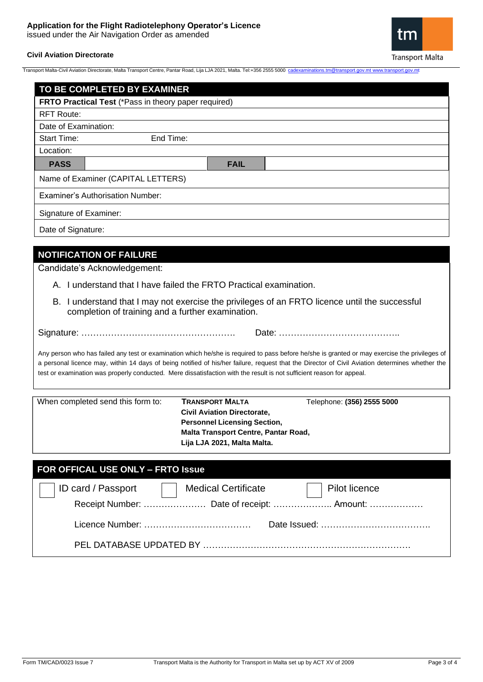# **Application for the Flight Radiotelephony Operator's Licence**

issued under the Air Navigation Order as amended

## **Civil Aviation Directorate**



Transport Malta-Civil Aviation Directorate, Malta Transport Centre, Pantar Road, Lija LJA 2021, Malta. Tel:+356 2555 5000 [cadexaminations.tm@transport.gov.mt](mailto:cadexaminations.tm@transport.gov.mt) [www.transport.gov.mt](http://www.transport.gov.mt/)

| FRTO Practical Test (*Pass in theory paper required)<br><b>RFT Route:</b><br>Date of Examination:<br>End Time:<br>Start Time:<br>Location:<br><b>PASS</b><br><b>FAIL</b><br>Name of Examiner (CAPITAL LETTERS)<br><b>Examiner's Authorisation Number:</b><br>Signature of Examiner:<br>Date of Signature:<br><b>NOTIFICATION OF FAILURE</b><br>Candidate's Acknowledgement:<br>A. I understand that I have failed the FRTO Practical examination.<br>B. I understand that I may not exercise the privileges of an FRTO licence until the successful<br>completion of training and a further examination.<br>Any person who has failed any test or examination which he/she is required to pass before he/she is granted or may exercise the privileges of<br>a personal licence may, within 14 days of being notified of his/her failure, request that the Director of Civil Aviation determines whether the<br>test or examination was properly conducted. Mere dissatisfaction with the result is not sufficient reason for appeal.<br>When completed send this form to:<br><b>TRANSPORT MALTA</b><br>Telephone: (356) 2555 5000<br><b>Civil Aviation Directorate,</b><br><b>Personnel Licensing Section,</b><br>Malta Transport Centre, Pantar Road,<br>Lija LJA 2021, Malta Malta.<br>FOR OFFICAL USE ONLY - FRTO Issue<br>Pilot licence<br>ID card / Passport<br><b>Medical Certificate</b> | TO BE COMPLETED BY EXAMINER |  |
|--------------------------------------------------------------------------------------------------------------------------------------------------------------------------------------------------------------------------------------------------------------------------------------------------------------------------------------------------------------------------------------------------------------------------------------------------------------------------------------------------------------------------------------------------------------------------------------------------------------------------------------------------------------------------------------------------------------------------------------------------------------------------------------------------------------------------------------------------------------------------------------------------------------------------------------------------------------------------------------------------------------------------------------------------------------------------------------------------------------------------------------------------------------------------------------------------------------------------------------------------------------------------------------------------------------------------------------------------------------------------------------------------|-----------------------------|--|
|                                                                                                                                                                                                                                                                                                                                                                                                                                                                                                                                                                                                                                                                                                                                                                                                                                                                                                                                                                                                                                                                                                                                                                                                                                                                                                                                                                                                  |                             |  |
|                                                                                                                                                                                                                                                                                                                                                                                                                                                                                                                                                                                                                                                                                                                                                                                                                                                                                                                                                                                                                                                                                                                                                                                                                                                                                                                                                                                                  |                             |  |
|                                                                                                                                                                                                                                                                                                                                                                                                                                                                                                                                                                                                                                                                                                                                                                                                                                                                                                                                                                                                                                                                                                                                                                                                                                                                                                                                                                                                  |                             |  |
|                                                                                                                                                                                                                                                                                                                                                                                                                                                                                                                                                                                                                                                                                                                                                                                                                                                                                                                                                                                                                                                                                                                                                                                                                                                                                                                                                                                                  |                             |  |
|                                                                                                                                                                                                                                                                                                                                                                                                                                                                                                                                                                                                                                                                                                                                                                                                                                                                                                                                                                                                                                                                                                                                                                                                                                                                                                                                                                                                  |                             |  |
|                                                                                                                                                                                                                                                                                                                                                                                                                                                                                                                                                                                                                                                                                                                                                                                                                                                                                                                                                                                                                                                                                                                                                                                                                                                                                                                                                                                                  |                             |  |
|                                                                                                                                                                                                                                                                                                                                                                                                                                                                                                                                                                                                                                                                                                                                                                                                                                                                                                                                                                                                                                                                                                                                                                                                                                                                                                                                                                                                  |                             |  |
|                                                                                                                                                                                                                                                                                                                                                                                                                                                                                                                                                                                                                                                                                                                                                                                                                                                                                                                                                                                                                                                                                                                                                                                                                                                                                                                                                                                                  |                             |  |
|                                                                                                                                                                                                                                                                                                                                                                                                                                                                                                                                                                                                                                                                                                                                                                                                                                                                                                                                                                                                                                                                                                                                                                                                                                                                                                                                                                                                  |                             |  |
|                                                                                                                                                                                                                                                                                                                                                                                                                                                                                                                                                                                                                                                                                                                                                                                                                                                                                                                                                                                                                                                                                                                                                                                                                                                                                                                                                                                                  |                             |  |
|                                                                                                                                                                                                                                                                                                                                                                                                                                                                                                                                                                                                                                                                                                                                                                                                                                                                                                                                                                                                                                                                                                                                                                                                                                                                                                                                                                                                  |                             |  |
|                                                                                                                                                                                                                                                                                                                                                                                                                                                                                                                                                                                                                                                                                                                                                                                                                                                                                                                                                                                                                                                                                                                                                                                                                                                                                                                                                                                                  |                             |  |
|                                                                                                                                                                                                                                                                                                                                                                                                                                                                                                                                                                                                                                                                                                                                                                                                                                                                                                                                                                                                                                                                                                                                                                                                                                                                                                                                                                                                  |                             |  |
|                                                                                                                                                                                                                                                                                                                                                                                                                                                                                                                                                                                                                                                                                                                                                                                                                                                                                                                                                                                                                                                                                                                                                                                                                                                                                                                                                                                                  |                             |  |
|                                                                                                                                                                                                                                                                                                                                                                                                                                                                                                                                                                                                                                                                                                                                                                                                                                                                                                                                                                                                                                                                                                                                                                                                                                                                                                                                                                                                  |                             |  |
|                                                                                                                                                                                                                                                                                                                                                                                                                                                                                                                                                                                                                                                                                                                                                                                                                                                                                                                                                                                                                                                                                                                                                                                                                                                                                                                                                                                                  |                             |  |
|                                                                                                                                                                                                                                                                                                                                                                                                                                                                                                                                                                                                                                                                                                                                                                                                                                                                                                                                                                                                                                                                                                                                                                                                                                                                                                                                                                                                  |                             |  |
|                                                                                                                                                                                                                                                                                                                                                                                                                                                                                                                                                                                                                                                                                                                                                                                                                                                                                                                                                                                                                                                                                                                                                                                                                                                                                                                                                                                                  |                             |  |
|                                                                                                                                                                                                                                                                                                                                                                                                                                                                                                                                                                                                                                                                                                                                                                                                                                                                                                                                                                                                                                                                                                                                                                                                                                                                                                                                                                                                  |                             |  |
|                                                                                                                                                                                                                                                                                                                                                                                                                                                                                                                                                                                                                                                                                                                                                                                                                                                                                                                                                                                                                                                                                                                                                                                                                                                                                                                                                                                                  |                             |  |
|                                                                                                                                                                                                                                                                                                                                                                                                                                                                                                                                                                                                                                                                                                                                                                                                                                                                                                                                                                                                                                                                                                                                                                                                                                                                                                                                                                                                  |                             |  |
|                                                                                                                                                                                                                                                                                                                                                                                                                                                                                                                                                                                                                                                                                                                                                                                                                                                                                                                                                                                                                                                                                                                                                                                                                                                                                                                                                                                                  |                             |  |
|                                                                                                                                                                                                                                                                                                                                                                                                                                                                                                                                                                                                                                                                                                                                                                                                                                                                                                                                                                                                                                                                                                                                                                                                                                                                                                                                                                                                  |                             |  |
|                                                                                                                                                                                                                                                                                                                                                                                                                                                                                                                                                                                                                                                                                                                                                                                                                                                                                                                                                                                                                                                                                                                                                                                                                                                                                                                                                                                                  |                             |  |
|                                                                                                                                                                                                                                                                                                                                                                                                                                                                                                                                                                                                                                                                                                                                                                                                                                                                                                                                                                                                                                                                                                                                                                                                                                                                                                                                                                                                  |                             |  |
|                                                                                                                                                                                                                                                                                                                                                                                                                                                                                                                                                                                                                                                                                                                                                                                                                                                                                                                                                                                                                                                                                                                                                                                                                                                                                                                                                                                                  |                             |  |
|                                                                                                                                                                                                                                                                                                                                                                                                                                                                                                                                                                                                                                                                                                                                                                                                                                                                                                                                                                                                                                                                                                                                                                                                                                                                                                                                                                                                  |                             |  |
|                                                                                                                                                                                                                                                                                                                                                                                                                                                                                                                                                                                                                                                                                                                                                                                                                                                                                                                                                                                                                                                                                                                                                                                                                                                                                                                                                                                                  |                             |  |
|                                                                                                                                                                                                                                                                                                                                                                                                                                                                                                                                                                                                                                                                                                                                                                                                                                                                                                                                                                                                                                                                                                                                                                                                                                                                                                                                                                                                  |                             |  |
|                                                                                                                                                                                                                                                                                                                                                                                                                                                                                                                                                                                                                                                                                                                                                                                                                                                                                                                                                                                                                                                                                                                                                                                                                                                                                                                                                                                                  |                             |  |
|                                                                                                                                                                                                                                                                                                                                                                                                                                                                                                                                                                                                                                                                                                                                                                                                                                                                                                                                                                                                                                                                                                                                                                                                                                                                                                                                                                                                  |                             |  |
|                                                                                                                                                                                                                                                                                                                                                                                                                                                                                                                                                                                                                                                                                                                                                                                                                                                                                                                                                                                                                                                                                                                                                                                                                                                                                                                                                                                                  |                             |  |